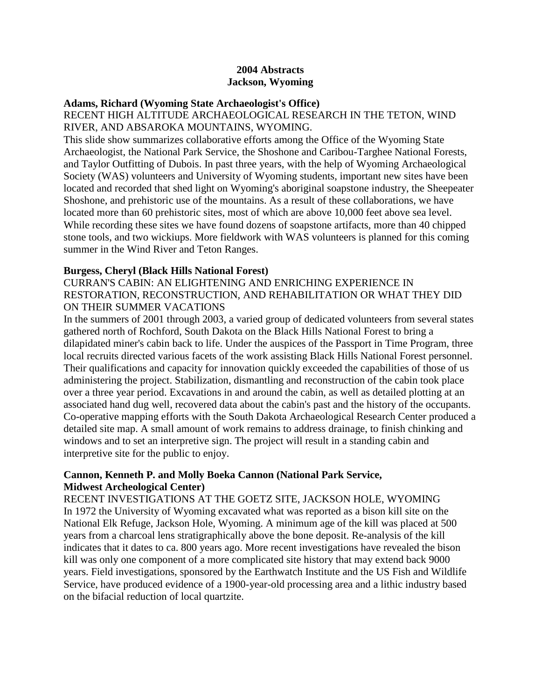### **2004 Abstracts Jackson, Wyoming**

#### **Adams, Richard (Wyoming State Archaeologist's Office)**

RECENT HIGH ALTITUDE ARCHAEOLOGICAL RESEARCH IN THE TETON, WIND RIVER, AND ABSAROKA MOUNTAINS, WYOMING.

This slide show summarizes collaborative efforts among the Office of the Wyoming State Archaeologist, the National Park Service, the Shoshone and Caribou-Targhee National Forests, and Taylor Outfitting of Dubois. In past three years, with the help of Wyoming Archaeological Society (WAS) volunteers and University of Wyoming students, important new sites have been located and recorded that shed light on Wyoming's aboriginal soapstone industry, the Sheepeater Shoshone, and prehistoric use of the mountains. As a result of these collaborations, we have located more than 60 prehistoric sites, most of which are above 10,000 feet above sea level. While recording these sites we have found dozens of soapstone artifacts, more than 40 chipped stone tools, and two wickiups. More fieldwork with WAS volunteers is planned for this coming summer in the Wind River and Teton Ranges.

#### **Burgess, Cheryl (Black Hills National Forest)**

### CURRAN'S CABIN: AN ELIGHTENING AND ENRICHING EXPERIENCE IN RESTORATION, RECONSTRUCTION, AND REHABILITATION OR WHAT THEY DID ON THEIR SUMMER VACATIONS

In the summers of 2001 through 2003, a varied group of dedicated volunteers from several states gathered north of Rochford, South Dakota on the Black Hills National Forest to bring a dilapidated miner's cabin back to life. Under the auspices of the Passport in Time Program, three local recruits directed various facets of the work assisting Black Hills National Forest personnel. Their qualifications and capacity for innovation quickly exceeded the capabilities of those of us administering the project. Stabilization, dismantling and reconstruction of the cabin took place over a three year period. Excavations in and around the cabin, as well as detailed plotting at an associated hand dug well, recovered data about the cabin's past and the history of the occupants. Co-operative mapping efforts with the South Dakota Archaeological Research Center produced a detailed site map. A small amount of work remains to address drainage, to finish chinking and windows and to set an interpretive sign. The project will result in a standing cabin and interpretive site for the public to enjoy.

#### **Cannon, Kenneth P. and Molly Boeka Cannon (National Park Service, Midwest Archeological Center)**

RECENT INVESTIGATIONS AT THE GOETZ SITE, JACKSON HOLE, WYOMING In 1972 the University of Wyoming excavated what was reported as a bison kill site on the National Elk Refuge, Jackson Hole, Wyoming. A minimum age of the kill was placed at 500 years from a charcoal lens stratigraphically above the bone deposit. Re-analysis of the kill indicates that it dates to ca. 800 years ago. More recent investigations have revealed the bison kill was only one component of a more complicated site history that may extend back 9000 years. Field investigations, sponsored by the Earthwatch Institute and the US Fish and Wildlife Service, have produced evidence of a 1900-year-old processing area and a lithic industry based on the bifacial reduction of local quartzite.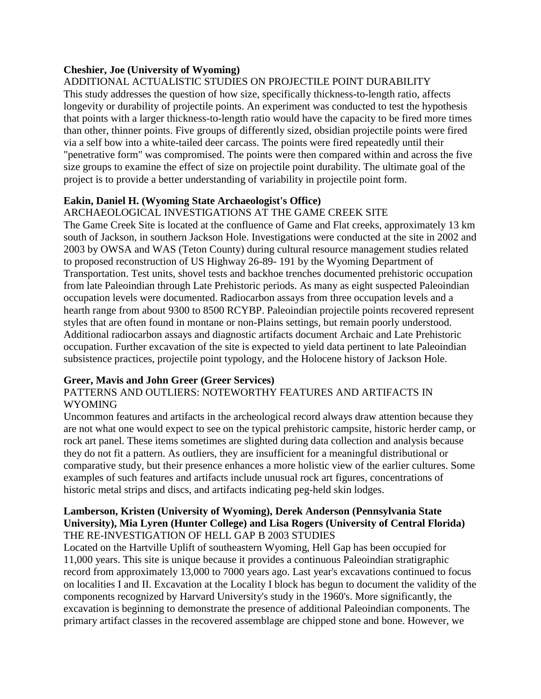# **Cheshier, Joe (University of Wyoming)**

ADDITIONAL ACTUALISTIC STUDIES ON PROJECTILE POINT DURABILITY This study addresses the question of how size, specifically thickness-to-length ratio, affects longevity or durability of projectile points. An experiment was conducted to test the hypothesis that points with a larger thickness-to-length ratio would have the capacity to be fired more times than other, thinner points. Five groups of differently sized, obsidian projectile points were fired via a self bow into a white-tailed deer carcass. The points were fired repeatedly until their "penetrative form" was compromised. The points were then compared within and across the five size groups to examine the effect of size on projectile point durability. The ultimate goal of the project is to provide a better understanding of variability in projectile point form.

# **Eakin, Daniel H. (Wyoming State Archaeologist's Office)**

### ARCHAEOLOGICAL INVESTIGATIONS AT THE GAME CREEK SITE

The Game Creek Site is located at the confluence of Game and Flat creeks, approximately 13 km south of Jackson, in southern Jackson Hole. Investigations were conducted at the site in 2002 and 2003 by OWSA and WAS (Teton County) during cultural resource management studies related to proposed reconstruction of US Highway 26-89- 191 by the Wyoming Department of Transportation. Test units, shovel tests and backhoe trenches documented prehistoric occupation from late Paleoindian through Late Prehistoric periods. As many as eight suspected Paleoindian occupation levels were documented. Radiocarbon assays from three occupation levels and a hearth range from about 9300 to 8500 RCYBP. Paleoindian projectile points recovered represent styles that are often found in montane or non-Plains settings, but remain poorly understood. Additional radiocarbon assays and diagnostic artifacts document Archaic and Late Prehistoric occupation. Further excavation of the site is expected to yield data pertinent to late Paleoindian subsistence practices, projectile point typology, and the Holocene history of Jackson Hole.

# **Greer, Mavis and John Greer (Greer Services)**

#### PATTERNS AND OUTLIERS: NOTEWORTHY FEATURES AND ARTIFACTS IN WYOMING

Uncommon features and artifacts in the archeological record always draw attention because they are not what one would expect to see on the typical prehistoric campsite, historic herder camp, or rock art panel. These items sometimes are slighted during data collection and analysis because they do not fit a pattern. As outliers, they are insufficient for a meaningful distributional or comparative study, but their presence enhances a more holistic view of the earlier cultures. Some examples of such features and artifacts include unusual rock art figures, concentrations of historic metal strips and discs, and artifacts indicating peg-held skin lodges.

#### **Lamberson, Kristen (University of Wyoming), Derek Anderson (Pennsylvania State University), Mia Lyren (Hunter College) and Lisa Rogers (University of Central Florida)** THE RE-INVESTIGATION OF HELL GAP B 2003 STUDIES

Located on the Hartville Uplift of southeastern Wyoming, Hell Gap has been occupied for 11,000 years. This site is unique because it provides a continuous Paleoindian stratigraphic record from approximately 13,000 to 7000 years ago. Last year's excavations continued to focus on localities I and II. Excavation at the Locality I block has begun to document the validity of the components recognized by Harvard University's study in the 1960's. More significantly, the excavation is beginning to demonstrate the presence of additional Paleoindian components. The primary artifact classes in the recovered assemblage are chipped stone and bone. However, we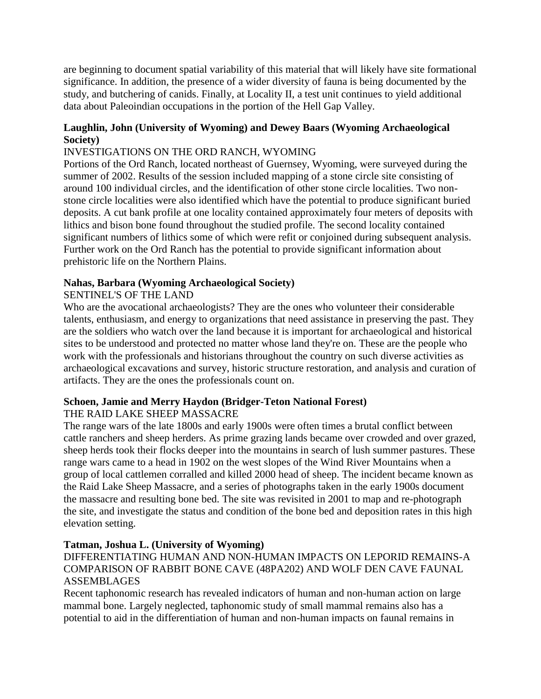are beginning to document spatial variability of this material that will likely have site formational significance. In addition, the presence of a wider diversity of fauna is being documented by the study, and butchering of canids. Finally, at Locality II, a test unit continues to yield additional data about Paleoindian occupations in the portion of the Hell Gap Valley.

# **Laughlin, John (University of Wyoming) and Dewey Baars (Wyoming Archaeological Society)**

# INVESTIGATIONS ON THE ORD RANCH, WYOMING

Portions of the Ord Ranch, located northeast of Guernsey, Wyoming, were surveyed during the summer of 2002. Results of the session included mapping of a stone circle site consisting of around 100 individual circles, and the identification of other stone circle localities. Two nonstone circle localities were also identified which have the potential to produce significant buried deposits. A cut bank profile at one locality contained approximately four meters of deposits with lithics and bison bone found throughout the studied profile. The second locality contained significant numbers of lithics some of which were refit or conjoined during subsequent analysis. Further work on the Ord Ranch has the potential to provide significant information about prehistoric life on the Northern Plains.

### **Nahas, Barbara (Wyoming Archaeological Society)**

# SENTINEL'S OF THE LAND

Who are the avocational archaeologists? They are the ones who volunteer their considerable talents, enthusiasm, and energy to organizations that need assistance in preserving the past. They are the soldiers who watch over the land because it is important for archaeological and historical sites to be understood and protected no matter whose land they're on. These are the people who work with the professionals and historians throughout the country on such diverse activities as archaeological excavations and survey, historic structure restoration, and analysis and curation of artifacts. They are the ones the professionals count on.

# **Schoen, Jamie and Merry Haydon (Bridger-Teton National Forest)**

# THE RAID LAKE SHEEP MASSACRE

The range wars of the late 1800s and early 1900s were often times a brutal conflict between cattle ranchers and sheep herders. As prime grazing lands became over crowded and over grazed, sheep herds took their flocks deeper into the mountains in search of lush summer pastures. These range wars came to a head in 1902 on the west slopes of the Wind River Mountains when a group of local cattlemen corralled and killed 2000 head of sheep. The incident became known as the Raid Lake Sheep Massacre, and a series of photographs taken in the early 1900s document the massacre and resulting bone bed. The site was revisited in 2001 to map and re-photograph the site, and investigate the status and condition of the bone bed and deposition rates in this high elevation setting.

#### **Tatman, Joshua L. (University of Wyoming)**

# DIFFERENTIATING HUMAN AND NON-HUMAN IMPACTS ON LEPORID REMAINS-A COMPARISON OF RABBIT BONE CAVE (48PA202) AND WOLF DEN CAVE FAUNAL ASSEMBLAGES

Recent taphonomic research has revealed indicators of human and non-human action on large mammal bone. Largely neglected, taphonomic study of small mammal remains also has a potential to aid in the differentiation of human and non-human impacts on faunal remains in